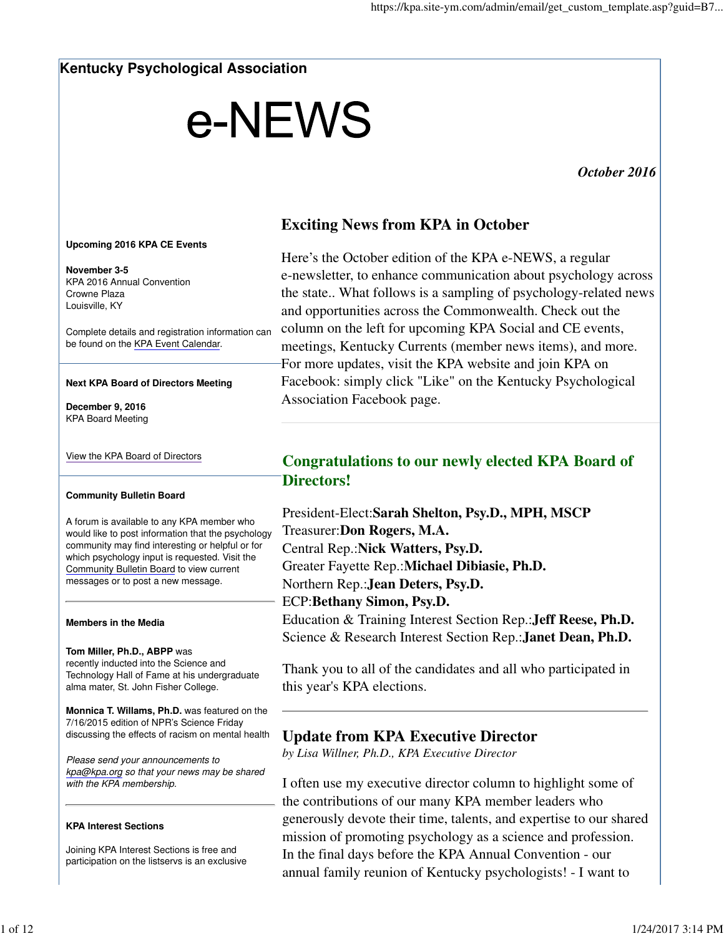## **Kentucky Psychological Association**

# e-NEWS

*October 2016* 

# **Exciting News from KPA in October**

#### **Upcoming 2016 KPA CE Events**

**November 3-5** KPA 2016 Annual Convention Crowne Plaza Louisville, KY

Complete details and registration information can be found on the KPA Event Calendar.

#### **Next KPA Board of Directors Meeting**

**December 9, 2016** KPA Board Meeting

#### View the KPA Board of Directors

#### **Community Bulletin Board**

A forum is available to any KPA member who would like to post information that the psychology community may find interesting or helpful or for which psychology input is requested. Visit the Community Bulletin Board to view current messages or to post a new message.

#### **Members in the Media**

#### **Tom Miller, Ph.D., ABPP** was

recently inducted into the Science and Technology Hall of Fame at his undergraduate alma mater, St. John Fisher College.

**Monnica T. Willams, Ph.D.** was featured on the 7/16/2015 edition of NPR's Science Friday discussing the effects of racism on mental health

Please send your announcements to kpa@kpa.org so that your news may be shared with the KPA membership.

#### **KPA Interest Sections**

Joining KPA Interest Sections is free and participation on the listservs is an exclusive

Here's the October edition of the KPA e-NEWS, a regular e-newsletter, to enhance communication about psychology across the state.. What follows is a sampling of psychology-related news and opportunities across the Commonwealth. Check out the column on the left for upcoming KPA Social and CE events, meetings, Kentucky Currents (member news items), and more. For more updates, visit the KPA website and join KPA on Facebook: simply click "Like" on the Kentucky Psychological Association Facebook page.

# **Congratulations to our newly elected KPA Board of Directors!**

President-Elect:**Sarah Shelton, Psy.D., MPH, MSCP** Treasurer:**Don Rogers, M.A.** Central Rep.:**Nick Watters, Psy.D.** Greater Fayette Rep.:**Michael Dibiasie, Ph.D.** Northern Rep.:**Jean Deters, Psy.D.** ECP:**Bethany Simon, Psy.D.** Education & Training Interest Section Rep.:**Jeff Reese, Ph.D.**

Science & Research Interest Section Rep.:**Janet Dean, Ph.D.**

Thank you to all of the candidates and all who participated in this year's KPA elections.

# **Update from KPA Executive Director**

*by Lisa Willner, Ph.D., KPA Executive Director*

I often use my executive director column to highlight some of the contributions of our many KPA member leaders who generously devote their time, talents, and expertise to our shared mission of promoting psychology as a science and profession. In the final days before the KPA Annual Convention - our annual family reunion of Kentucky psychologists! - I want to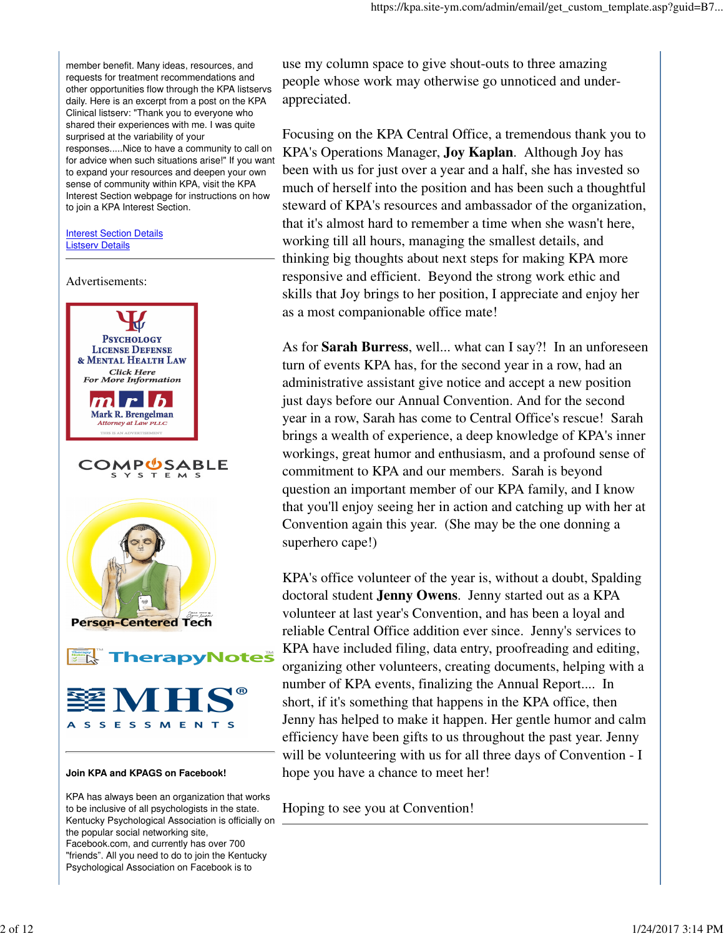member benefit. Many ideas, resources, and requests for treatment recommendations and other opportunities flow through the KPA listservs daily. Here is an excerpt from a post on the KPA Clinical listserv: "Thank you to everyone who shared their experiences with me. I was quite surprised at the variability of your responses.....Nice to have a community to call on for advice when such situations arise!" If you want to expand your resources and deepen your own sense of community within KPA, visit the KPA Interest Section webpage for instructions on how to join a KPA Interest Section.

**Interest Section Details** Listserv Details



KPA has always been an organization that works to be inclusive of all psychologists in the state. Kentucky Psychological Association is officially on the popular social networking site, Facebook.com, and currently has over 700 "friends". All you need to do to join the Kentucky Psychological Association on Facebook is to

use my column space to give shout-outs to three amazing people whose work may otherwise go unnoticed and underappreciated.

Focusing on the KPA Central Office, a tremendous thank you to KPA's Operations Manager, **Joy Kaplan**. Although Joy has been with us for just over a year and a half, she has invested so much of herself into the position and has been such a thoughtful steward of KPA's resources and ambassador of the organization, that it's almost hard to remember a time when she wasn't here, working till all hours, managing the smallest details, and thinking big thoughts about next steps for making KPA more responsive and efficient. Beyond the strong work ethic and skills that Joy brings to her position, I appreciate and enjoy her as a most companionable office mate!

As for **Sarah Burress**, well... what can I say?! In an unforeseen turn of events KPA has, for the second year in a row, had an administrative assistant give notice and accept a new position just days before our Annual Convention. And for the second year in a row, Sarah has come to Central Office's rescue! Sarah brings a wealth of experience, a deep knowledge of KPA's inner workings, great humor and enthusiasm, and a profound sense of commitment to KPA and our members. Sarah is beyond question an important member of our KPA family, and I know that you'll enjoy seeing her in action and catching up with her at Convention again this year. (She may be the one donning a superhero cape!)

KPA's office volunteer of the year is, without a doubt, Spalding doctoral student **Jenny Owens**. Jenny started out as a KPA volunteer at last year's Convention, and has been a loyal and reliable Central Office addition ever since. Jenny's services to KPA have included filing, data entry, proofreading and editing, organizing other volunteers, creating documents, helping with a number of KPA events, finalizing the Annual Report.... In short, if it's something that happens in the KPA office, then Jenny has helped to make it happen. Her gentle humor and calm efficiency have been gifts to us throughout the past year. Jenny will be volunteering with us for all three days of Convention - I hope you have a chance to meet her!

Hoping to see you at Convention!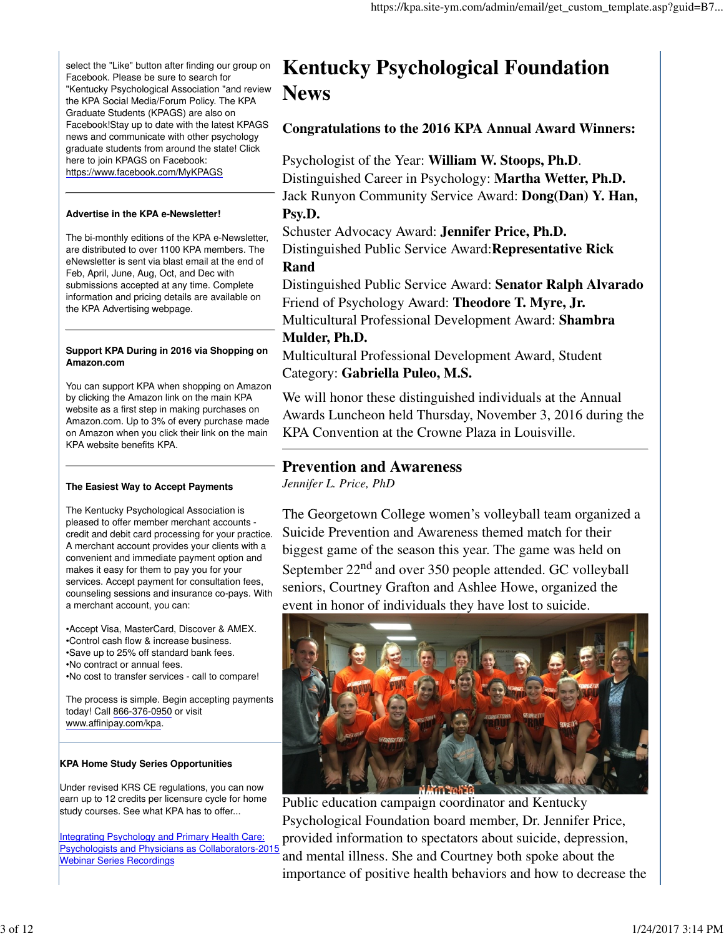select the "Like" button after finding our group on Facebook. Please be sure to search for "Kentucky Psychological Association "and review the KPA Social Media/Forum Policy. The KPA Graduate Students (KPAGS) are also on Facebook!Stay up to date with the latest KPAGS news and communicate with other psychology graduate students from around the state! Click here to join KPAGS on Facebook: https://www.facebook.com/MyKPAGS

#### **Advertise in the KPA e-Newsletter!**

The bi-monthly editions of the KPA e-Newsletter, are distributed to over 1100 KPA members. The eNewsletter is sent via blast email at the end of Feb, April, June, Aug, Oct, and Dec with submissions accepted at any time. Complete information and pricing details are available on the KPA Advertising webpage.

#### **Support KPA During in 2016 via Shopping on Amazon.com**

You can support KPA when shopping on Amazon by clicking the Amazon link on the main KPA website as a first step in making purchases on Amazon.com. Up to 3% of every purchase made on Amazon when you click their link on the main KPA website benefits KPA.

## **The Easiest Way to Accept Payments**

The Kentucky Psychological Association is pleased to offer member merchant accounts credit and debit card processing for your practice. A merchant account provides your clients with a convenient and immediate payment option and makes it easy for them to pay you for your services. Accept payment for consultation fees, counseling sessions and insurance co-pays. With a merchant account, you can:

•Accept Visa, MasterCard, Discover & AMEX. •Control cash flow & increase business. •Save up to 25% off standard bank fees. •No contract or annual fees. •No cost to transfer services - call to compare!

The process is simple. Begin accepting payments today! Call 866-376-0950 or visit www.affinipay.com/kpa.

## **KPA Home Study Series Opportunities**

Under revised KRS CE regulations, you can now earn up to 12 credits per licensure cycle for home study courses. See what KPA has to offer...

Integrating Psychology and Primary Health Care: Psychologists and Physicians as Collaborators-2015 Webinar Series Recordings

# **Kentucky Psychological Foundation News**

**Congratulations to the 2016 KPA Annual Award Winners:**

Psychologist of the Year: **William W. Stoops, Ph.D**. Distinguished Career in Psychology: **Martha Wetter, Ph.D.** Jack Runyon Community Service Award: **Dong(Dan) Y. Han, Psy.D.**

Schuster Advocacy Award: **Jennifer Price, Ph.D.** Distinguished Public Service Award:**Representative Rick Rand**

Distinguished Public Service Award: **Senator Ralph Alvarado** Friend of Psychology Award: **Theodore T. Myre, Jr.** Multicultural Professional Development Award: **Shambra**

## **Mulder, Ph.D.**

Multicultural Professional Development Award, Student Category: **Gabriella Puleo, M.S.**

We will honor these distinguished individuals at the Annual Awards Luncheon held Thursday, November 3, 2016 during the KPA Convention at the Crowne Plaza in Louisville.

## **Prevention and Awareness**

*Jennifer L. Price, PhD*

The Georgetown College women's volleyball team organized a Suicide Prevention and Awareness themed match for their biggest game of the season this year. The game was held on September  $22<sup>nd</sup>$  and over 350 people attended. GC volleyball seniors, Courtney Grafton and Ashlee Howe, organized the event in honor of individuals they have lost to suicide.



Public education campaign coordinator and Kentucky Psychological Foundation board member, Dr. Jennifer Price, provided information to spectators about suicide, depression, and mental illness. She and Courtney both spoke about the importance of positive health behaviors and how to decrease the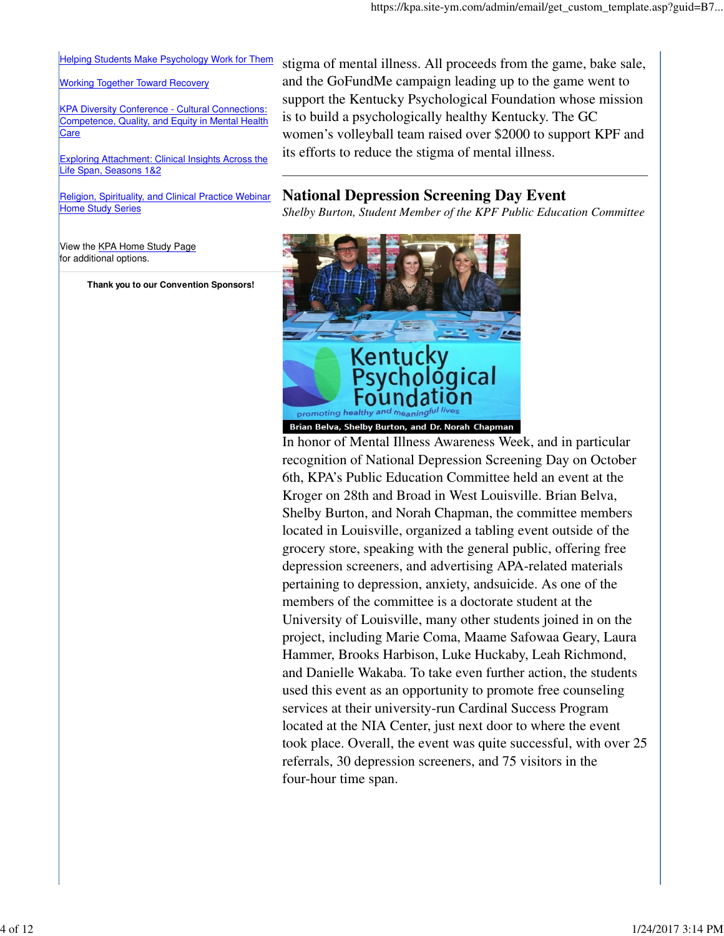#### Helping Students Make Psychology Work for Them

#### Working Together Toward Recovery

KPA Diversity Conference - Cultural Connections: Competence, Quality, and Equity in Mental Health Care

Exploring Attachment: Clinical Insights Across the Life Span, Seasons 1&2

Religion, Spirituality, and Clinical Practice Webinar **Home Study Series** 

View the KPA Home Study Page for additional options.

**Thank you to our Convention Sponsors!**

stigma of mental illness. All proceeds from the game, bake sale, and the GoFundMe campaign leading up to the game went to support the Kentucky Psychological Foundation whose mission is to build a psychologically healthy Kentucky. The GC women's volleyball team raised over \$2000 to support KPF and its efforts to reduce the stigma of mental illness.

## **National Depression Screening Day Event**

*Shelby Burton, Student Member of the KPF Public Education Committee*



Brian Belva, Shelby Burton, and Dr. Norah Chapman

In honor of Mental Illness Awareness Week, and in particular recognition of National Depression Screening Day on October 6th, KPA's Public Education Committee held an event at the Kroger on 28th and Broad in West Louisville. Brian Belva, Shelby Burton, and Norah Chapman, the committee members located in Louisville, organized a tabling event outside of the grocery store, speaking with the general public, offering free depression screeners, and advertising APA-related materials pertaining to depression, anxiety, andsuicide. As one of the members of the committee is a doctorate student at the University of Louisville, many other students joined in on the project, including Marie Coma, Maame Safowaa Geary, Laura Hammer, Brooks Harbison, Luke Huckaby, Leah Richmond, and Danielle Wakaba. To take even further action, the students used this event as an opportunity to promote free counseling services at their university-run Cardinal Success Program located at the NIA Center, just next door to where the event took place. Overall, the event was quite successful, with over 25 referrals, 30 depression screeners, and 75 visitors in the four-hour time span.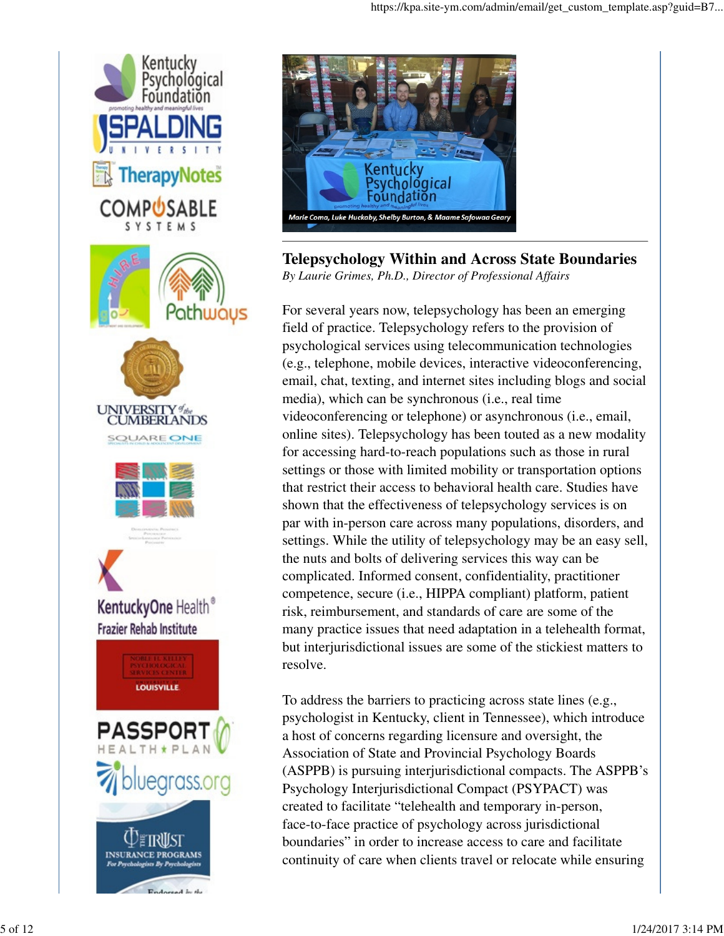



## **Telepsychology Within and Across State Boundaries** *By Laurie Grimes, Ph.D., Director of Professional Affairs*

For several years now, telepsychology has been an emerging field of practice. Telepsychology refers to the provision of psychological services using telecommunication technologies (e.g., telephone, mobile devices, interactive videoconferencing, email, chat, texting, and internet sites including blogs and social media), which can be synchronous (i.e., real time videoconferencing or telephone) or asynchronous (i.e., email, online sites). Telepsychology has been touted as a new modality for accessing hard-to-reach populations such as those in rural settings or those with limited mobility or transportation options that restrict their access to behavioral health care. Studies have shown that the effectiveness of telepsychology services is on par with in-person care across many populations, disorders, and settings. While the utility of telepsychology may be an easy sell, the nuts and bolts of delivering services this way can be complicated. Informed consent, confidentiality, practitioner competence, secure (i.e., HIPPA compliant) platform, patient risk, reimbursement, and standards of care are some of the many practice issues that need adaptation in a telehealth format, but interjurisdictional issues are some of the stickiest matters to resolve.

To address the barriers to practicing across state lines (e.g., psychologist in Kentucky, client in Tennessee), which introduce a host of concerns regarding licensure and oversight, the Association of State and Provincial Psychology Boards (ASPPB) is pursuing interjurisdictional compacts. The ASPPB's Psychology Interjurisdictional Compact (PSYPACT) was created to facilitate "telehealth and temporary in-person, face-to-face practice of psychology across jurisdictional boundaries" in order to increase access to care and facilitate continuity of care when clients travel or relocate while ensuring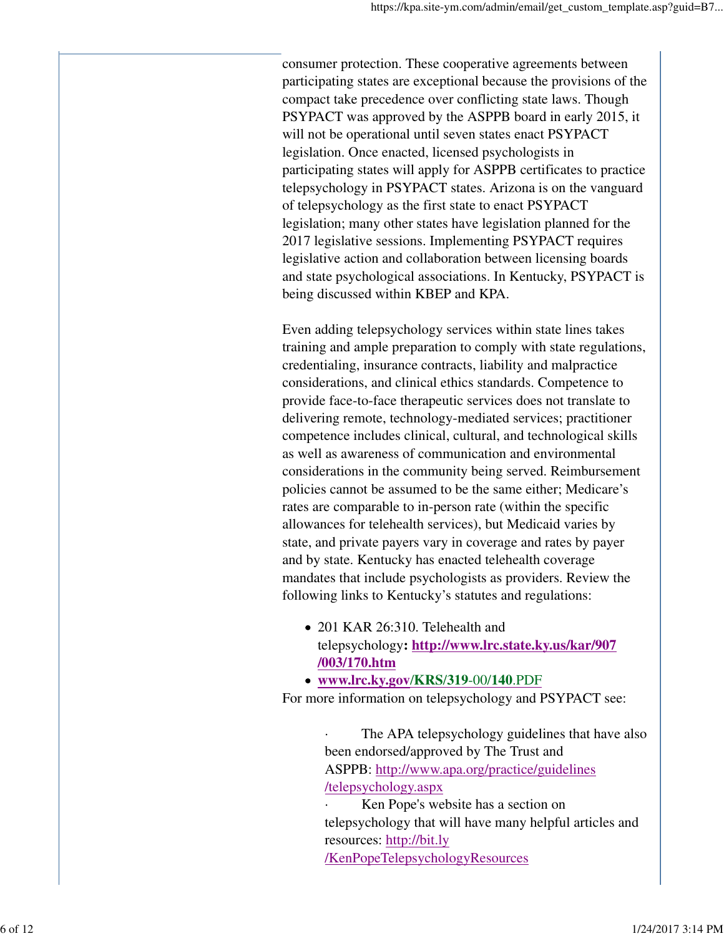consumer protection. These cooperative agreements between participating states are exceptional because the provisions of the compact take precedence over conflicting state laws. Though PSYPACT was approved by the ASPPB board in early 2015, it will not be operational until seven states enact PSYPACT legislation. Once enacted, licensed psychologists in participating states will apply for ASPPB certificates to practice telepsychology in PSYPACT states. Arizona is on the vanguard of telepsychology as the first state to enact PSYPACT legislation; many other states have legislation planned for the 2017 legislative sessions. Implementing PSYPACT requires legislative action and collaboration between licensing boards and state psychological associations. In Kentucky, PSYPACT is being discussed within KBEP and KPA.

Even adding telepsychology services within state lines takes training and ample preparation to comply with state regulations, credentialing, insurance contracts, liability and malpractice considerations, and clinical ethics standards. Competence to provide face-to-face therapeutic services does not translate to delivering remote, technology-mediated services; practitioner competence includes clinical, cultural, and technological skills as well as awareness of communication and environmental considerations in the community being served. Reimbursement policies cannot be assumed to be the same either; Medicare's rates are comparable to in-person rate (within the specific allowances for telehealth services), but Medicaid varies by state, and private payers vary in coverage and rates by payer and by state. Kentucky has enacted telehealth coverage mandates that include psychologists as providers. Review the following links to Kentucky's statutes and regulations:

- 201 KAR 26:310. Telehealth and telepsychology**: http://www.lrc.state.ky.us/kar/907 /003/170.htm**
- **www.lrc.ky.gov**/**KRS**/**319**-00/**140**.PDF

For more information on telepsychology and PSYPACT see:

The APA telepsychology guidelines that have also been endorsed/approved by The Trust and ASPPB: http://www.apa.org/practice/guidelines /telepsychology.aspx

Ken Pope's website has a section on telepsychology that will have many helpful articles and resources: http://bit.ly /KenPopeTelepsychologyResources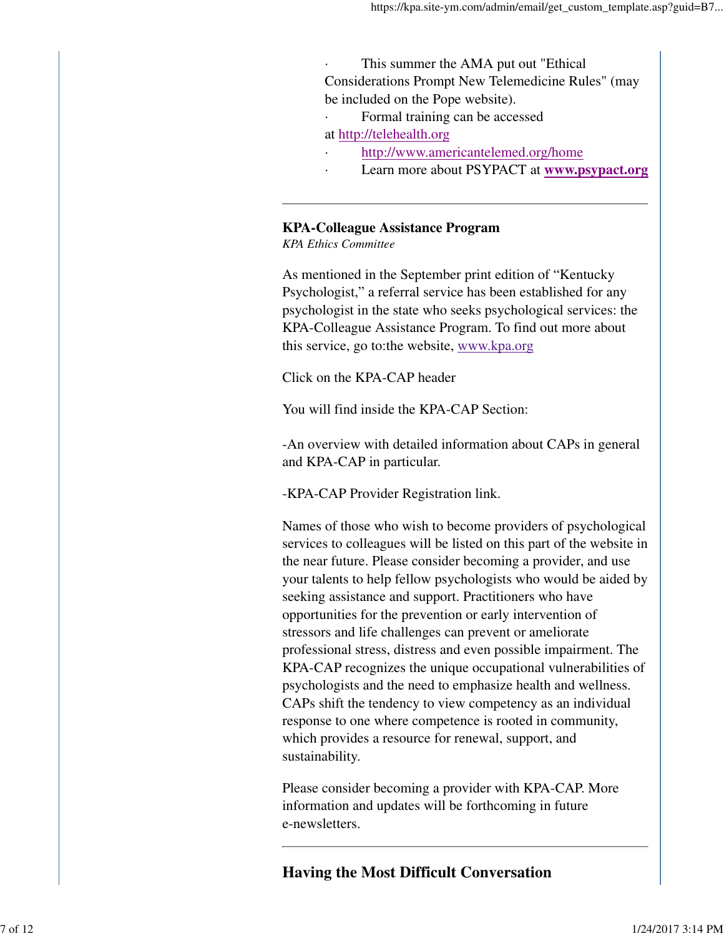This summer the AMA put out "Ethical" Considerations Prompt New Telemedicine Rules" (may be included on the Pope website).

Formal training can be accessed

at http://telehealth.org

- http://www.americantelemed.org/home
- Learn more about PSYPACT at **www.psypact.org**

## **KPA-Colleague Assistance Program**

*KPA Ethics Committee*

As mentioned in the September print edition of "Kentucky Psychologist," a referral service has been established for any psychologist in the state who seeks psychological services: the KPA-Colleague Assistance Program. To find out more about this service, go to:the website, www.kpa.org

Click on the KPA-CAP header

You will find inside the KPA-CAP Section:

-An overview with detailed information about CAPs in general and KPA-CAP in particular.

-KPA-CAP Provider Registration link.

Names of those who wish to become providers of psychological services to colleagues will be listed on this part of the website in the near future. Please consider becoming a provider, and use your talents to help fellow psychologists who would be aided by seeking assistance and support. Practitioners who have opportunities for the prevention or early intervention of stressors and life challenges can prevent or ameliorate professional stress, distress and even possible impairment. The KPA-CAP recognizes the unique occupational vulnerabilities of psychologists and the need to emphasize health and wellness. CAPs shift the tendency to view competency as an individual response to one where competence is rooted in community, which provides a resource for renewal, support, and sustainability.

Please consider becoming a provider with KPA-CAP. More information and updates will be forthcoming in future e-newsletters.

**Having the Most Difficult Conversation**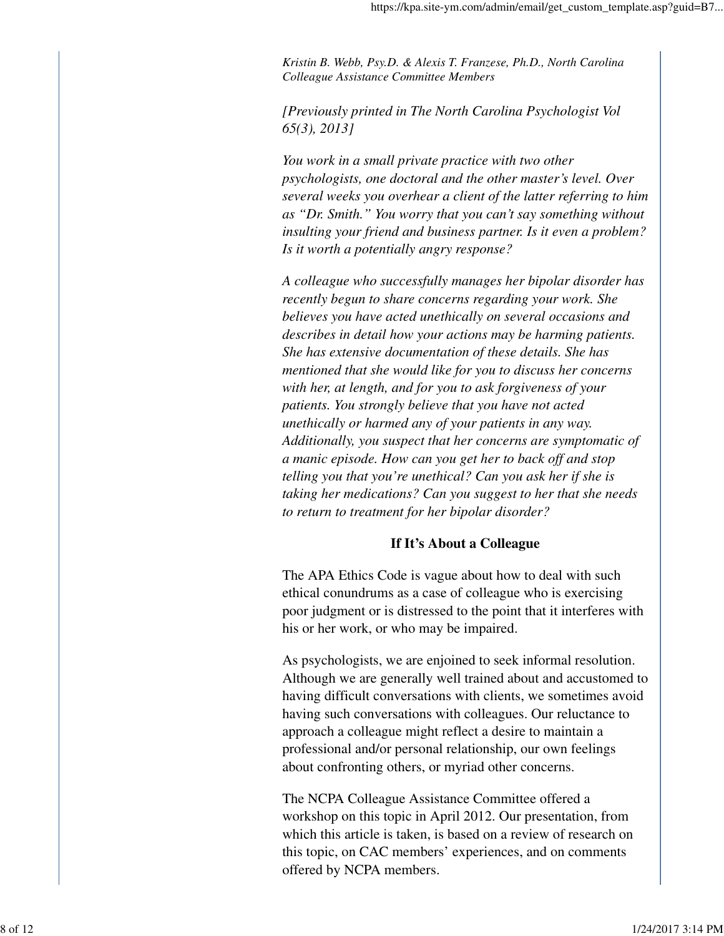*Kristin B. Webb, Psy.D. & Alexis T. Franzese, Ph.D., North Carolina Colleague Assistance Committee Members*

*[Previously printed in The North Carolina Psychologist Vol 65(3), 2013]*

*You work in a small private practice with two other psychologists, one doctoral and the other master's level. Over several weeks you overhear a client of the latter referring to him as "Dr. Smith." You worry that you can't say something without insulting your friend and business partner. Is it even a problem? Is it worth a potentially angry response?*

*A colleague who successfully manages her bipolar disorder has recently begun to share concerns regarding your work. She believes you have acted unethically on several occasions and describes in detail how your actions may be harming patients. She has extensive documentation of these details. She has mentioned that she would like for you to discuss her concerns with her, at length, and for you to ask forgiveness of your patients. You strongly believe that you have not acted unethically or harmed any of your patients in any way. Additionally, you suspect that her concerns are symptomatic of a manic episode. How can you get her to back off and stop telling you that you're unethical? Can you ask her if she is taking her medications? Can you suggest to her that she needs to return to treatment for her bipolar disorder?*

#### **If It's About a Colleague**

The APA Ethics Code is vague about how to deal with such ethical conundrums as a case of colleague who is exercising poor judgment or is distressed to the point that it interferes with his or her work, or who may be impaired.

As psychologists, we are enjoined to seek informal resolution. Although we are generally well trained about and accustomed to having difficult conversations with clients, we sometimes avoid having such conversations with colleagues. Our reluctance to approach a colleague might reflect a desire to maintain a professional and/or personal relationship, our own feelings about confronting others, or myriad other concerns.

The NCPA Colleague Assistance Committee offered a workshop on this topic in April 2012. Our presentation, from which this article is taken, is based on a review of research on this topic, on CAC members' experiences, and on comments offered by NCPA members.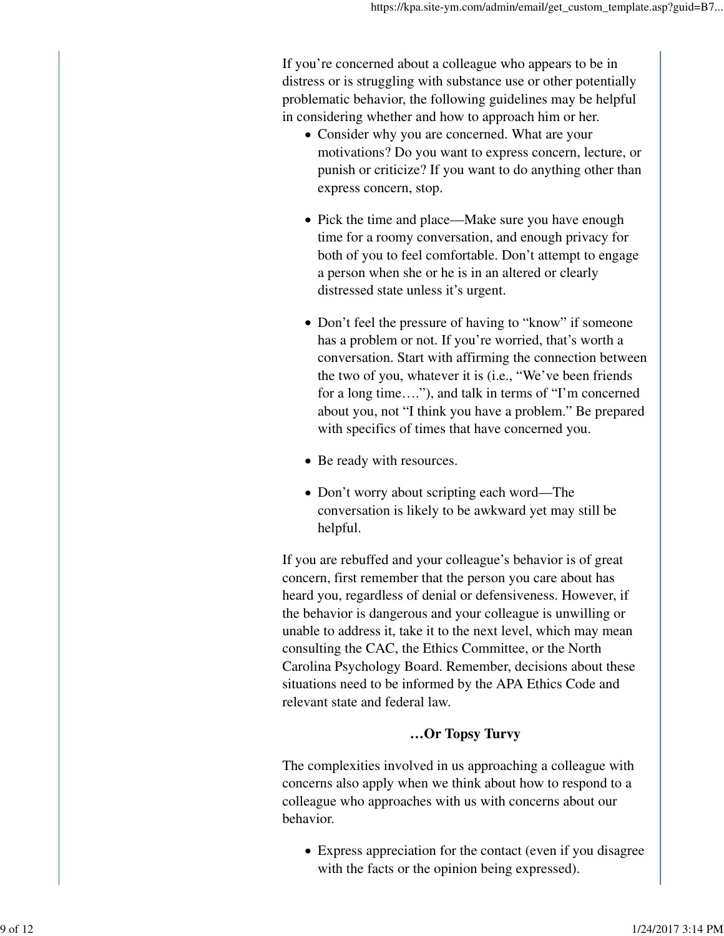If you're concerned about a colleague who appears to be in distress or is struggling with substance use or other potentially problematic behavior, the following guidelines may be helpful in considering whether and how to approach him or her.

- Consider why you are concerned. What are your motivations? Do you want to express concern, lecture, or punish or criticize? If you want to do anything other than express concern, stop.
- Pick the time and place—Make sure you have enough time for a roomy conversation, and enough privacy for both of you to feel comfortable. Don't attempt to engage a person when she or he is in an altered or clearly distressed state unless it's urgent.
- Don't feel the pressure of having to "know" if someone has a problem or not. If you're worried, that's worth a conversation. Start with affirming the connection between the two of you, whatever it is (i.e., "We've been friends for a long time…."), and talk in terms of "I'm concerned about you, not "I think you have a problem." Be prepared with specifics of times that have concerned you.
- Be ready with resources.
- Don't worry about scripting each word—The conversation is likely to be awkward yet may still be helpful.

If you are rebuffed and your colleague's behavior is of great concern, first remember that the person you care about has heard you, regardless of denial or defensiveness. However, if the behavior is dangerous and your colleague is unwilling or unable to address it, take it to the next level, which may mean consulting the CAC, the Ethics Committee, or the North Carolina Psychology Board. Remember, decisions about these situations need to be informed by the APA Ethics Code and relevant state and federal law.

## **…Or Topsy Turvy**

The complexities involved in us approaching a colleague with concerns also apply when we think about how to respond to a colleague who approaches with us with concerns about our behavior.

Express appreciation for the contact (even if you disagree with the facts or the opinion being expressed).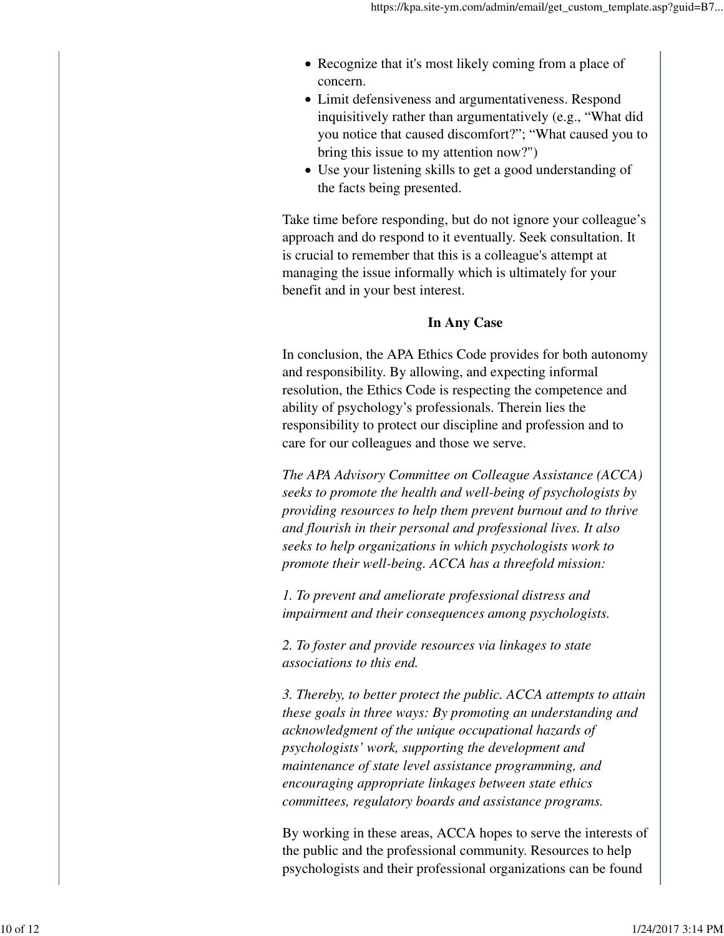- Recognize that it's most likely coming from a place of concern.
- Limit defensiveness and argumentativeness. Respond inquisitively rather than argumentatively (e.g., "What did you notice that caused discomfort?"; "What caused you to bring this issue to my attention now?")
- Use your listening skills to get a good understanding of the facts being presented.

Take time before responding, but do not ignore your colleague's approach and do respond to it eventually. Seek consultation. It is crucial to remember that this is a colleague's attempt at managing the issue informally which is ultimately for your benefit and in your best interest.

## **In Any Case**

In conclusion, the APA Ethics Code provides for both autonomy and responsibility. By allowing, and expecting informal resolution, the Ethics Code is respecting the competence and ability of psychology's professionals. Therein lies the responsibility to protect our discipline and profession and to care for our colleagues and those we serve.

*The APA Advisory Committee on Colleague Assistance (ACCA) seeks to promote the health and well-being of psychologists by providing resources to help them prevent burnout and to thrive and flourish in their personal and professional lives. It also seeks to help organizations in which psychologists work to promote their well-being. ACCA has a threefold mission:*

*1. To prevent and ameliorate professional distress and impairment and their consequences among psychologists.*

*2. To foster and provide resources via linkages to state associations to this end.*

*3. Thereby, to better protect the public. ACCA attempts to attain these goals in three ways: By promoting an understanding and acknowledgment of the unique occupational hazards of psychologists' work, supporting the development and maintenance of state level assistance programming, and encouraging appropriate linkages between state ethics committees, regulatory boards and assistance programs.*

By working in these areas, ACCA hopes to serve the interests of the public and the professional community. Resources to help psychologists and their professional organizations can be found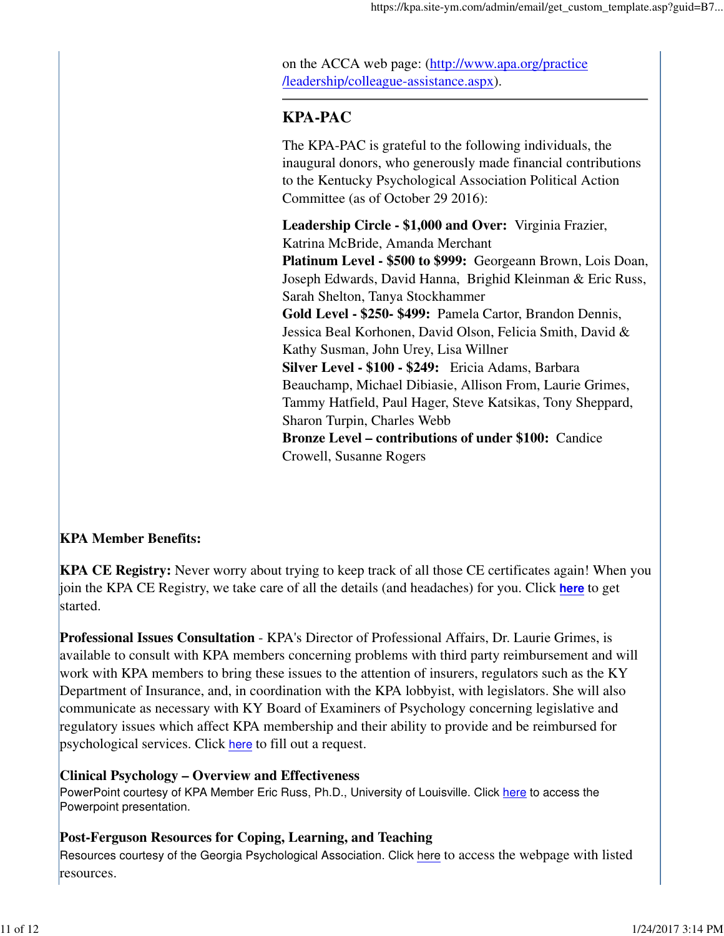on the ACCA web page: (http://www.apa.org/practice /leadership/colleague-assistance.aspx).

# **KPA-PAC**

The KPA-PAC is grateful to the following individuals, the inaugural donors, who generously made financial contributions to the Kentucky Psychological Association Political Action Committee (as of October 29 2016):

**Leadership Circle - \$1,000 and Over:** Virginia Frazier, Katrina McBride, Amanda Merchant **Platinum Level - \$500 to \$999:** Georgeann Brown, Lois Doan, Joseph Edwards, David Hanna, Brighid Kleinman & Eric Russ, Sarah Shelton, Tanya Stockhammer **Gold Level - \$250- \$499:** Pamela Cartor, Brandon Dennis, Jessica Beal Korhonen, David Olson, Felicia Smith, David & Kathy Susman, John Urey, Lisa Willner **Silver Level - \$100 - \$249:** Ericia Adams, Barbara Beauchamp, Michael Dibiasie, Allison From, Laurie Grimes, Tammy Hatfield, Paul Hager, Steve Katsikas, Tony Sheppard, Sharon Turpin, Charles Webb **Bronze Level – contributions of under \$100:** Candice Crowell, Susanne Rogers

## **KPA Member Benefits:**

**KPA CE Registry:** Never worry about trying to keep track of all those CE certificates again! When you join the KPA CE Registry, we take care of all the details (and headaches) for you. Click **here** to get started.

**Professional Issues Consultation** - KPA's Director of Professional Affairs, Dr. Laurie Grimes, is available to consult with KPA members concerning problems with third party reimbursement and will work with KPA members to bring these issues to the attention of insurers, regulators such as the KY Department of Insurance, and, in coordination with the KPA lobbyist, with legislators. She will also communicate as necessary with KY Board of Examiners of Psychology concerning legislative and regulatory issues which affect KPA membership and their ability to provide and be reimbursed for psychological services. Click here to fill out a request.

## **Clinical Psychology – Overview and Effectiveness**

PowerPoint courtesy of KPA Member Eric Russ, Ph.D., University of Louisville. Click here to access the Powerpoint presentation.

## **Post-Ferguson Resources for Coping, Learning, and Teaching**

Resources courtesy of the Georgia Psychological Association. Click here to access the webpage with listed resources.